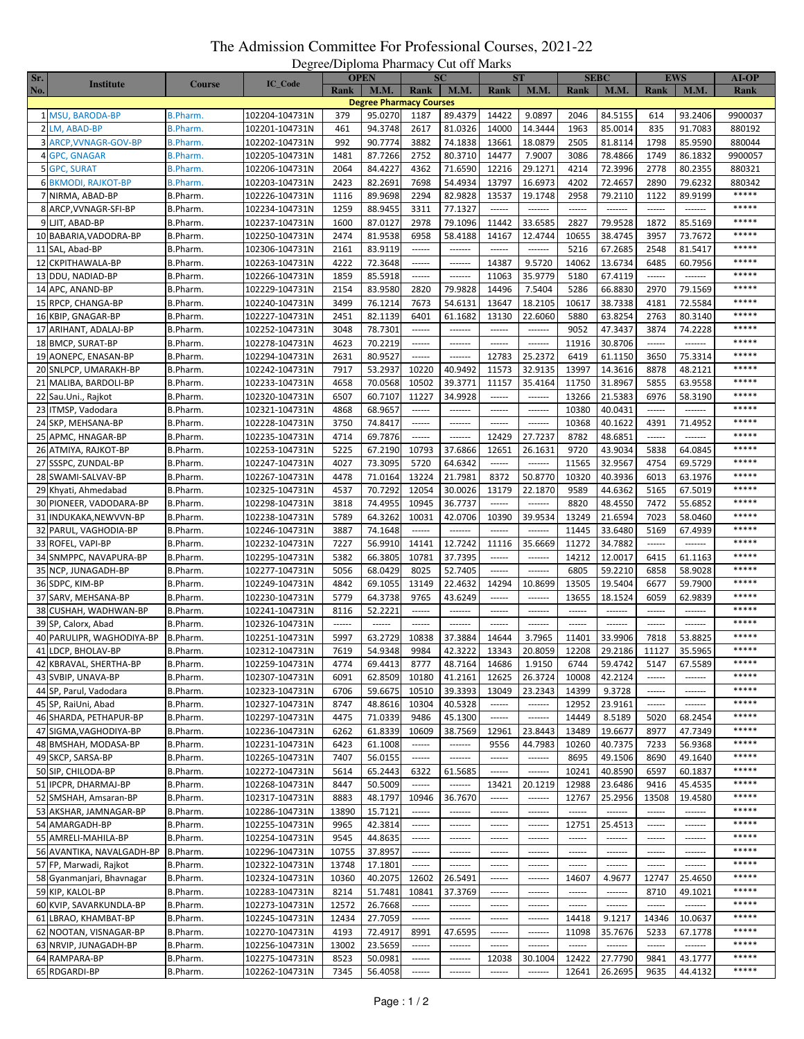## The Admission Committee For Professional Courses, 2021-22 Degree/Diploma Pharmacy Cut off Marks

| Sr. |                            |                 |                | <b>OPEN</b> |                                | $\sim$<br>SС  |                 | <b>ST</b>           |                 | <b>SEBC</b>   |             | <b>EWS</b> |         | <b>AI-OP</b> |
|-----|----------------------------|-----------------|----------------|-------------|--------------------------------|---------------|-----------------|---------------------|-----------------|---------------|-------------|------------|---------|--------------|
| No. | <b>Institute</b>           | <b>Course</b>   | <b>IC_Code</b> | Rank        | <b>M.M.</b>                    | Rank          | <b>M.M.</b>     | Rank                | M.M.            | Rank          | <b>M.M.</b> | Rank       | M.M.    | Rank         |
|     |                            |                 |                |             | <b>Degree Pharmacy Courses</b> |               |                 |                     |                 |               |             |            |         |              |
|     | 1 MSU, BARODA-BP           | <b>B.Pharm.</b> | 102204-104731N | 379         | 95.0270                        | 1187          | 89.4379         | 14422               | 9.0897          | 2046          | 84.5155     | 614        | 93.2406 | 9900037      |
|     | 2 LM, ABAD-BP              | <b>B.Pharm.</b> | 102201-104731N | 461         | 94.3748                        | 2617          | 81.0326         | 14000               | 14.3444         | 1963          | 85.0014     | 835        | 91.7083 | 880192       |
|     | 3 ARCP, VVNAGR-GOV-BP      | B.Pharm.        | 102202-104731N | 992         | 90.7774                        | 3882          | 74.1838         | 13661               | 18.0879         | 2505          | 81.8114     | 1798       | 85.9590 | 880044       |
|     | 4 GPC, GNAGAR              | <b>B.Pharm.</b> | 102205-104731N | 1481        | 87.7266                        | 2752          | 80.3710         | 14477               | 7.9007          | 3086          | 78.4866     | 1749       | 86.1832 | 9900057      |
|     | 5 GPC, SURAT               | <b>B.Pharm.</b> | 102206-104731N | 2064        | 84.4227                        | 4362          | 71.6590         | 12216               | 29.1271         | 4214          | 72.3996     | 2778       | 80.2355 | 880321       |
|     | <b>6 BKMODI, RAJKOT-BP</b> | B.Pharm.        | 102203-104731N | 2423        | 82.2691                        | 7698          | 54.4934         | 13797               | 16.6973         | 4202          | 72.4657     | 2890       | 79.6232 | 880342       |
|     | 7 NIRMA, ABAD-BP           | B.Pharm.        | 102226-104731N | 1116        | 89.9698                        | 2294          | 82.9828         | 13537               | 19.1748         | 2958          | 79.2110     | 1122       | 89.9199 | *****        |
|     | 8 ARCP, VVNAGR-SFI-BP      | B.Pharm.        | 102234-104731N | 1259        | 88.9455                        | 3311          | 77.1327         | $-----1$            | -------         | $-----1$      | -------     | ------     | ------- | *****        |
|     | 9 LJIT, ABAD-BP            | B.Pharm.        | 102237-104731N | 1600        | 87.0127                        | 2978          | 79.1096         | 11442               | 33.6585         | 2827          | 79.9528     | 1872       | 85.5169 | *****        |
|     | 10 BABARIA, VADODRA-BP     | B.Pharm.        | 102250-104731N | 2474        | 81.9538                        | 6958          | 58.4188         | 14167               | 12.4744         | 10655         | 38.4745     | 3957       | 73.7672 | *****        |
|     | 11 SAL, Abad-BP            | B.Pharm.        | 102306-104731N | 2161        | 83.9119                        | ------        | -------         | ------              | -------         | 5216          | 67.2685     | 2548       | 81.5417 | *****        |
|     | 12 CKPITHAWALA-BP          | B.Pharm.        | 102263-104731N | 4222        | 72.3648                        | ------        | -------         | 14387               | 9.5720          | 14062         | 13.6734     | 6485       | 60.7956 | *****        |
|     | 13 DDU, NADIAD-BP          | B.Pharm.        | 102266-104731N | 1859        | 85.5918                        | $-----$       | -------         | 11063               | 35.9779         | 5180          | 67.4119     | ------     | ------- | *****        |
|     | 14 APC, ANAND-BP           | B.Pharm.        | 102229-104731N | 2154        | 83.9580                        | 2820          | 79.9828         | 14496               | 7.5404          | 5286          | 66.8830     | 2970       | 79.1569 | *****        |
|     | 15 RPCP, CHANGA-BP         | B.Pharm.        | 102240-104731N | 3499        | 76.1214                        | 7673          | 54.6131         | 13647               | 18.2105         | 10617         | 38.7338     | 4181       | 72.5584 | *****        |
|     | 16 KBIP, GNAGAR-BP         | B.Pharm.        | 102227-104731N | 2451        | 82.1139                        | 6401          | 61.1682         | 13130               | 22.6060         | 5880          | 63.8254     | 2763       | 80.3140 | *****        |
|     | 17 ARIHANT, ADALAJ-BP      | B.Pharm.        | 102252-104731N | 3048        | 78.7301                        | ------        | -------         | ------              | 1.1.1.1.1.1     | 9052          | 47.3437     | 3874       | 74.2228 | *****        |
|     | 18 BMCP, SURAT-BP          | B.Pharm.        | 102278-104731N | 4623        | 70.2219                        | ------        | -------         | $-----$             | 1.1.1.1.1.1.1   | 11916         | 30.8706     | ------     | ------- | *****        |
|     | 19 AONEPC, ENASAN-BP       | B.Pharm.        | 102294-104731N | 2631        | 80.9527                        | $- - - - - -$ | -------         | 12783               | 25.2372         | 6419          | 61.1150     | 3650       | 75.3314 | *****        |
|     | 20 SNLPCP, UMARAKH-BP      | B.Pharm.        | 102242-104731N | 7917        | 53.2937                        | 10220         | 40.9492         | 11573               | 32.9135         | 13997         | 14.3616     | 8878       | 48.2121 | *****        |
|     | 21 MALIBA, BARDOLI-BP      | B.Pharm.        | 102233-104731N | 4658        | 70.0568                        | 10502         | 39.3771         | 11157               | 35.4164         | 11750         | 31.8967     | 5855       | 63.9558 | *****        |
|     | 22 Sau.Uni., Rajkot        | B.Pharm.        | 102320-104731N | 6507        | 60.7107                        | 11227         | 34.9928         |                     | -------         | 13266         | 21.5383     | 6976       | 58.3190 | *****        |
|     | 23 ITMSP, Vadodara         | B.Pharm.        | 102321-104731N | 4868        | 68.9657                        | 1.1.1.1.1     | -------         | ------              | -------         | 10380         | 40.0431     | 1.1.1.1.1  | ------- | *****        |
|     | 24 SKP, MEHSANA-BP         | B.Pharm.        | 102228-104731N | 3750        | 74.8417                        | ------        | -------         |                     | -------         | 10368         | 40.1622     | 4391       | 71.4952 | *****        |
|     | 25 APMC, HNAGAR-BP         | B.Pharm.        | 102235-104731N | 4714        | 69.7876                        | ------        | -------         | 12429               | 27.7237         | 8782          | 48.6851     | ------     | ------- | *****        |
|     | 26 ATMIYA, RAJKOT-BP       | B.Pharm.        | 102253-104731N | 5225        | 67.2190                        | 10793         | 37.6866         | 12651               | 26.1631         | 9720          | 43.9034     | 5838       | 64.0845 | *****        |
|     | 27 SSSPC, ZUNDAL-BP        | B.Pharm.        | 102247-104731N | 4027        | 73.3095                        | 5720          | 64.6342         | ------              | -------         | 11565         | 32.9567     | 4754       | 69.5729 | *****        |
|     | 28 SWAMI-SALVAV-BP         | B.Pharm.        | 102267-104731N | 4478        | 71.0164                        | 13224         | 21.7981         | 8372                | 50.8770         | 10320         | 40.3936     | 6013       | 63.1976 | *****        |
|     | 29 Khyati, Ahmedabad       | B.Pharm.        | 102325-104731N | 4537        | 70.7292                        | 12054         | 30.0026         | 13179               | 22.1870         | 9589          | 44.6362     | 5165       | 67.5019 | *****        |
|     | 30 PIONEER, VADODARA-BP    | B.Pharm.        | 102298-104731N | 3818        | 74.4955                        | 10945         | 36.7737         | ------              | --------        | 8820          | 48.4550     | 7472       | 55.6852 | *****        |
|     | 31 INDUKAKA, NEW VVN-BP    | B.Pharm.        | 102238-104731N | 5789        | 64.3262                        | 10031         | 42.0706         | 10390               | 39.9534         | 13249         | 21.6594     | 7023       | 58.0460 | *****        |
|     | 32 PARUL, VAGHODIA-BP      | B.Pharm.        | 102246-104731N | 3887        | 74.1648                        | ------        | ------          |                     |                 | 11445         | 33.6480     | 5169       | 67.4939 | *****        |
|     | 33 ROFEL, VAPI-BP          | B.Pharm.        | 102232-104731N | 7227        | 56.9910                        | 14141         | 12.7242         | 11116               | 35.6669         | 11272         | 34.7882     | ------     | ------- | *****        |
|     | 34 SNMPPC, NAVAPURA-BP     | B.Pharm.        | 102295-104731N | 5382        | 66.3805                        | 10781         | 37.7395         | $-----1$            | -------         | 14212         | 12.0017     | 6415       | 61.1163 | *****        |
|     | 35 NCP, JUNAGADH-BP        | B.Pharm.        | 102277-104731N | 5056        | 68.0429                        | 8025          | 52.7405         | ------              | -------         | 6805          | 59.2210     | 6858       | 58.9028 | *****        |
|     | 36 SDPC, KIM-BP            | B.Pharm.        | 102249-104731N | 4842        | 69.1055                        | 13149         | 22.4632         | 14294               | 10.8699         | 13505         | 19.5404     | 6677       | 59.7900 | *****        |
|     | 37 SARV, MEHSANA-BP        | B.Pharm.        | 102230-104731N | 5779        | 64.3738                        | 9765          | 43.6249         | ------              | -------         | 13655         | 18.1524     | 6059       | 62.9839 | *****        |
|     | 38 CUSHAH, WADHWAN-BP      | B.Pharm.        | 102241-104731N | 8116        | 52.2221                        | ------        | -------         | $-----1$            | -------         | $- - - - - -$ | -------     | ------     | ------- | *****        |
|     | 39 SP, Calorx, Abad        | B.Pharm.        | 102326-104731N | ------      | ------                         | ------        | $- - - - - -$   |                     | $1 - 1 - 1 - 1$ |               | -------     | ------     | ------- | *****        |
|     | 40 PARULIPR, WAGHODIYA-BP  | B.Pharm.        | 102251-104731N | 5997        | 63.2729                        | 10838         | 37.3884         | 14644               | 3.7965          | 11401         | 33.9906     | 7818       | 53.8825 | *****        |
|     | 41 LDCP, BHOLAV-BP         | B.Pharm.        | 102312-104731N | 7619        | 54.9348                        | 9984          | 42.3222         | 13343               | 20.8059         | 12208         | 29.2186     | 11127      | 35.5965 | *****        |
|     | 42 KBRAVAL, SHERTHA-BP     | B.Pharm.        | 102259-104731N | 4774        | 69.4413                        | 8777          | 48.7164         | 14686               | 1.9150          | 6744          | 59.4742     | 5147       | 67.5589 | $*****$      |
|     | 43 SVBIP, UNAVA-BP         | B.Pharm.        | 102307-104731N | 6091        | 62.8509                        | 10180         | 41.2161         | 12625               | 26.3724         | 10008         | 42.2124     | ------     | ------- | *****        |
|     | 44 SP, Parul, Vadodara     | B.Pharm.        | 102323-104731N | 6706        | 59.6675                        | 10510         | 39.3393         | 13049               | 23.2343         | 14399         | 9.3728      | ------     | ------- | *****        |
|     | 45 SP, RaiUni, Abad        | B.Pharm.        | 102327-104731N | 8747        | 48.8616                        | 10304         | 40.5328         | ------              | -------         | 12952         | 23.9161     | ------     | ------- | *****        |
|     | 46 SHARDA, PETHAPUR-BP     | B.Pharm.        | 102297-104731N | 4475        | 71.0339                        | 9486          | 45.1300         | ------              | -------         | 14449         | 8.5189      | 5020       | 68.2454 | *****        |
|     | 47 SIGMA, VAGHODIYA-BP     | B.Pharm.        | 102236-104731N | 6262        | 61.8339                        | 10609         | 38.7569         | 12961               | 23.8443         | 13489         | 19.6677     | 8977       | 47.7349 | *****        |
|     | 48 BMSHAH, MODASA-BP       | B.Pharm.        | 102231-104731N | 6423        | 61.1008                        | ------        | -------         | 9556                | 44.7983         | 10260         | 40.7375     | 7233       | 56.9368 | *****        |
|     | 49 SKCP, SARSA-BP          | B.Pharm.        | 102265-104731N | 7407        | 56.0155                        | ------        | -------         | $- - - - - -$       | -------         | 8695          | 49.1506     | 8690       | 49.1640 | $*****$      |
|     | 50 SIP, CHILODA-BP         | B.Pharm.        | 102272-104731N | 5614        | 65.2443                        | 6322          | 61.5685         | ------              | -------         | 10241         | 40.8590     | 6597       | 60.1837 | *****        |
|     | 51 IPCPR, DHARMAJ-BP       | B.Pharm.        | 102268-104731N | 8447        | 50.5009                        | ------        | -------         | 13421               | 20.1219         | 12988         | 23.6486     | 9416       | 45.4535 | *****        |
|     | 52 SMSHAH, Amsaran-BP      | B.Pharm.        | 102317-104731N | 8883        | 48.1797                        | 10946         | 36.7670         | ------              | -------         | 12767         | 25.2956     | 13508      | 19.4580 | *****        |
|     | 53 AKSHAR, JAMNAGAR-BP     | B.Pharm.        | 102286-104731N | 13890       | 15.7121                        | ------        | -------         | $-----1$            | -------         | $-----$       | -------     | ------     | ------- | *****        |
|     | 54 AMARGADH-BP             | B.Pharm.        | 102255-104731N | 9965        | 42.3814                        | $-----$       | -------         |                     | -------         | 12751         | 25.4513     | $-----$    | ------- | *****        |
|     | 55 AMRELI-MAHILA-BP        | B.Pharm.        | 102254-104731N | 9545        | 44.8635                        | ------        | -------         | ------              | --------        | ------        | -------     | ------     | ------- | *****        |
|     | 56 AVANTIKA, NAVALGADH-BP  | B.Pharm.        | 102296-104731N | 10755       | 37.8957                        | 1.1.1.1.1     | -------         | $1 - 1 - 1 - 1 = 0$ | 1.1.1.1.1.1     | ------        | -------     | ------     | ------- | *****        |
|     | 57 FP, Marwadi, Rajkot     | B.Pharm.        | 102322-104731N | 13748       | 17.1801                        | ------        | -------         | ------              | -------         | ------        | -------     | ------     | ------- | *****        |
|     | 58 Gyanmanjari, Bhavnagar  | B.Pharm.        | 102324-104731N | 10360       | 40.2075                        | 12602         | 26.5491         | $- - - - - -$       |                 | 14607         | 4.9677      | 12747      | 25.4650 | *****        |
|     | 59 KIP, KALOL-BP           | B.Pharm.        | 102283-104731N | 8214        | 51.7481                        | 10841         | 37.3769         | $-----$             | 1.1.1.1.1.1     | $-----1$      | -------     | 8710       | 49.1021 | *****        |
|     | 60 KVIP, SAVARKUNDLA-BP    | B.Pharm.        | 102273-104731N | 12572       | 26.7668                        | ------        | -------         | ------              | 1.1.1.1.1.1     | ------        | -------     | ------     | ------- | *****        |
|     | 61 LBRAO, KHAMBAT-BP       | B.Pharm.        | 102245-104731N | 12434       | 27.7059                        | ------        | $- - - - - - -$ |                     | -------         | 14418         | 9.1217      | 14346      | 10.0637 | *****        |
|     | 62 NOOTAN, VISNAGAR-BP     | B.Pharm.        | 102270-104731N | 4193        | 72.4917                        | 8991          | 47.6595         | ------              | -------         | 11098         | 35.7676     | 5233       | 67.1778 | *****        |
|     | 63 NRVIP, JUNAGADH-BP      | B.Pharm.        | 102256-104731N | 13002       | 23.5659                        | ------        | -------         | $-----1$            |                 | ------        | -------     | ------     | ------- | *****        |
|     | 64 RAMPARA-BP              | B.Pharm.        | 102275-104731N | 8523        | 50.0981                        | ------        | -------         | 12038               | 30.1004         | 12422         | 27.7790     | 9841       | 43.1777 | *****        |
|     | 65 RDGARDI-BP              | B.Pharm.        | 102262-104731N | 7345        | 56.4058                        | ------        | -------         | ------              | -------         | 12641         | 26.2695     | 9635       | 44.4132 | $*****$      |